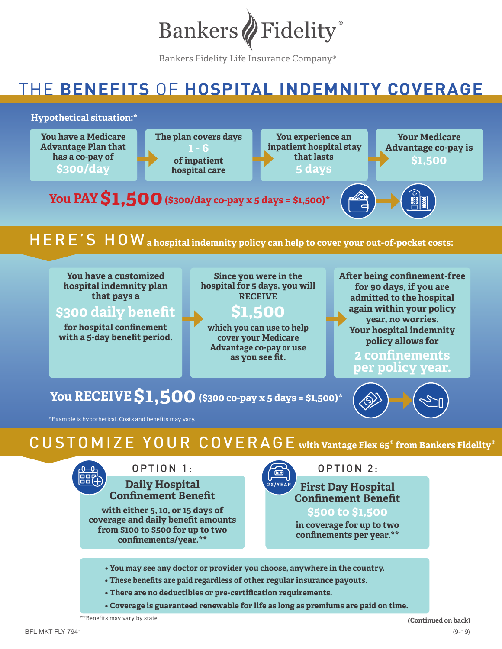

Bankers Fidelity Life Insurance Company®

# THE **BENEFITS** OF **HOSPITAL INDEMNITY COVERAGE**

#### **Hypothetical situation:\* Your Medicare Advantage co-pay is \$1,500 You PAY \$1,500 (\$300/day co-pay x 5 days = \$1,500)\*** H E R E ' S  $\overline{\phantom{a}}$  H O W a hospital indemnity policy can help to cover your out-of-pocket costs: **You experience an inpatient hospital stay that lasts 5 days The plan covers days of inpatient hospital care You have a Medicare Advantage Plan that has a co-pay of \$300/day**

**You have a customized hospital indemnity plan that pays a** 

**\$300 daily benefit**

**for hospital confinement with a 5-day benefit period.** 

**Since you were in the hospital for 5 days, you will RECEIVE**

### **\$1,500**

**which you can use to help cover your Medicare Advantage co-pay or use as you see fit.**

**After being confinement-free for 90 days, if you are admitted to the hospital again within your policy year, no worries. Your hospital indemnity policy allows for**

### **2 confinements per policy year.**

## **You RECEIVE \$1,500 (\$300 co-pay x 5 days = \$1,500)\***

\*Example is hypothetical. Costs and benefits may vary.

CUSTOMIZE YOUR COVERAGE **with Vantage Flex 65® from Bankers Fidelity®**



**Daily Hospital**  OPTION 1:

**Confinement Benefit with either 5, 10, or 15 days of coverage and daily benefit amounts from \$100 to \$500 for up to two confinements/year.\*\***



OPTION 2:

**First Day Hospital Confinement Benefit 2X/YEAR**

**\$500 to \$1,500**

**in coverage for up to two confinements per year.\*\***

- **You may see any doctor or provider you choose, anywhere in the country.**
- **These benefits are paid regardless of other regular insurance payouts.**
- **There are no deductibles or pre-certification requirements.**
- **Coverage is guaranteed renewable for life as long as premiums are paid on time.**